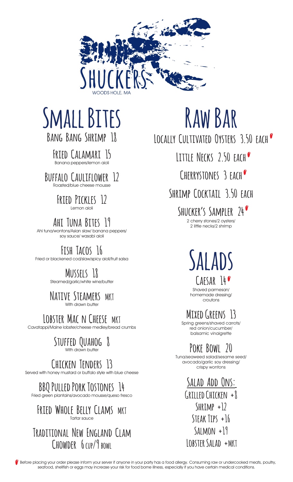

# **Small Bites**

**Bang Bang Shrimp 18**

**Fried Calamari 15** Banana peppers/lemon aioli

**Buffalo Cauliflower 12** Roasted/blue cheese mousse

#### **Fried Pickles 12** Lemon aioli

**Ahi Tuna Bites 19**

Ahi tuna/wontons/Asian slaw/ banana peppers/ soy sauce/ wasabi aioli

### **Fish Tacos 16**

Fried or blackened cod/slaw/spicy aioli/fruit salsa

### **Mussels 18**

Steamed/garlic/white wine/butter

#### **Native Steamers MKT** With drawn butter

LOBSTER MAC N CHEESE MKT

Cavatappi/Maine lobster/cheese medley/bread crumbs

#### **Stuffed Quahog 8** With drawn butter

## **Chicken Tenders 13**

Served with honey mustard or buffalo style with blue cheese

**BBQ Pulled Pork Tostones 14**

Fried green plantains/avocado mousse/queso fresco

#### **Fried Whole Belly Clams MKT** Tartar sauce

### **Traditional New England Clam Chowder 6 cup/9 bowl**

# **Raw Bar**

**Locally Cultivated Oysters 3.50 each**

**Little Necks 2.50 each**

**Cherrystones 3 each**

**Shrimp Cocktail 3.50 each**

**Shucker's Sampler 24** 2 cherry stones/2 oysters/ 2 little necks/2 shrimp

**Salads**

**Caesar 14** Shaved parmesan/ homemade dressing/ croutons

**Mixed Greens 13**

Spring greens/shaved carrots/ red onion/cucumber/ balsamic vinaigrette

## **Poke Bowl 20**

Tuna/seaweed salad/sesame seed/ avocado/garlic soy dressing/ crispy wontons

> **Salad Add Ons: Grilled Chicken +8 Shrimp +12 Steak Tips +16 Salmon +19 Lobster Salad +MKT**